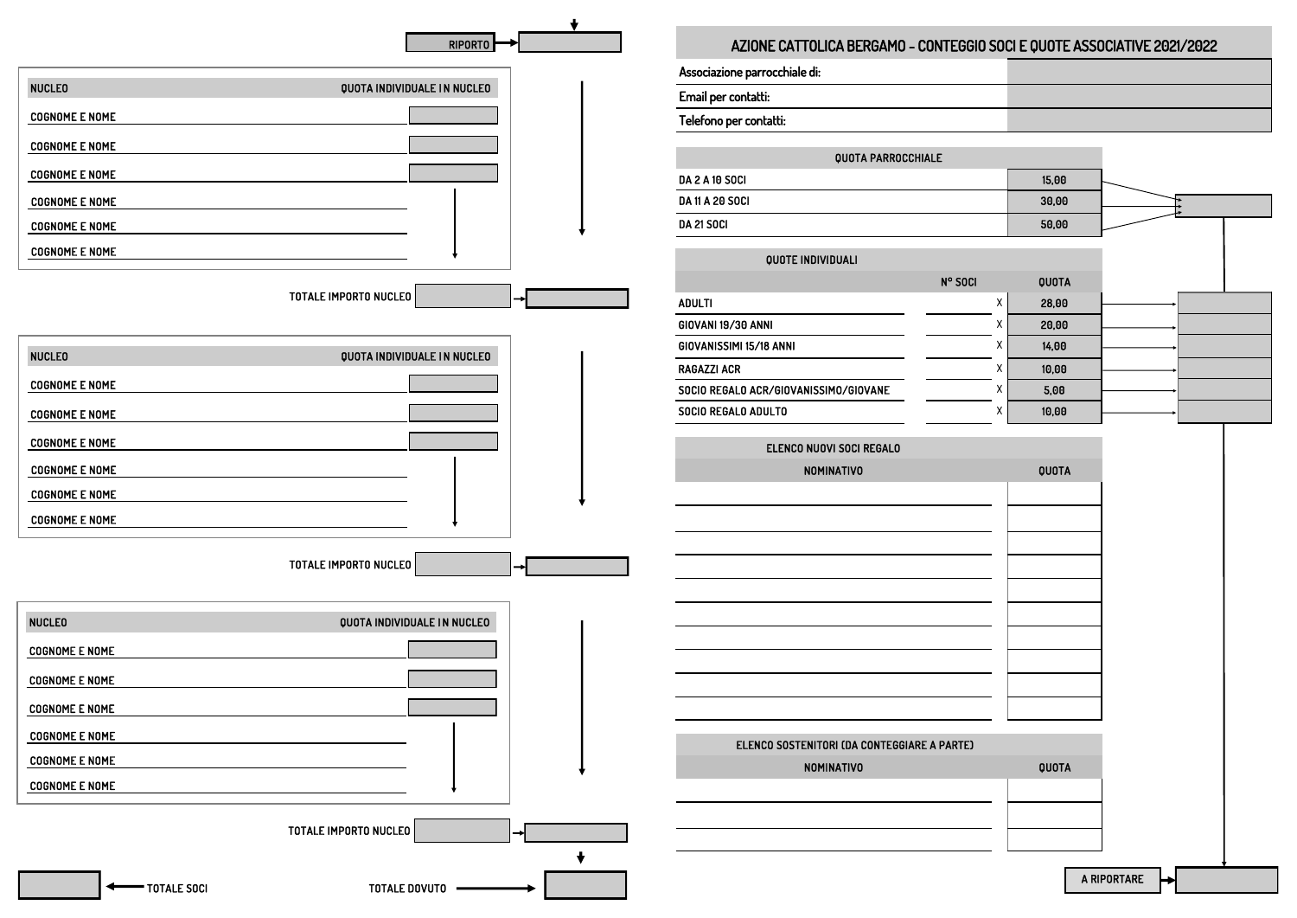A RIPORTARE

| 15,00 |  |
|-------|--|
| 30,00 |  |
| 50,00 |  |

|   | QUOTA |  |
|---|-------|--|
| Χ | 28,00 |  |
| χ | 20,00 |  |
| χ | 14,00 |  |
| χ | 10,00 |  |
| χ | 5,00  |  |
| Χ | 10,00 |  |

| QUOTA |
|-------|
|       |
|       |
|       |
|       |
|       |
|       |
|       |
|       |
|       |
|       |

| QUOTA |  |
|-------|--|

|                              | $RIPORTO \rightarrow$       | AZIONE CATTOLICA BERGAMO - CONTEGGIO SOCI E QUOTE |                |                |
|------------------------------|-----------------------------|---------------------------------------------------|----------------|----------------|
|                              |                             | Associazione parrocchiale di:                     |                |                |
| <b>NUCLEO</b>                | QUOTA INDIVIDUALE IN NUCLEO | Email per contatti:                               |                |                |
| <b>COGNOME E NOME</b>        |                             | Telefono per contatti:                            |                |                |
| <b>COGNOME E NOME</b>        |                             |                                                   |                |                |
| <b>COGNOME E NOME</b>        |                             | <b>QUOTA PARROCCHIALE</b>                         |                |                |
| <b>COGNOME E NOME</b>        |                             | <b>DA 2 A 10 SOCI</b><br>DA 11 A 20 SOCI          |                | 15,00<br>30,00 |
|                              |                             | <b>DA 21 SOCI</b>                                 |                | 50,00          |
| <b>COGNOME E NOME</b>        |                             |                                                   |                |                |
| <b>COGNOME E NOME</b>        |                             | QUOTE INDIVIDUALI                                 |                |                |
|                              |                             |                                                   | N° SOCI        | QUOTA          |
| <b>TOTALE IMPORTO NUCLEO</b> |                             | <b>ADULTI</b>                                     | $\mathsf{X}^-$ | 28,00          |
|                              |                             | <b>GIOVANI 19/30 ANNI</b>                         | Χ              | 20,00          |
| <b>NUCLEO</b>                | QUOTA INDIVIDUALE IN NUCLEO | GIOVANISSIMI 15/18 ANNI                           | Х              | 14,00          |
|                              |                             | <b>RAGAZZI ACR</b>                                | Х              | 10,00          |
| <b>COGNOME E NOME</b>        |                             | SOCIO REGALO ACR/GIOVANISSIMO/GIOVANE             | X              | 5,00           |
| <b>COGNOME E NOME</b>        |                             | SOCIO REGALO ADULTO                               | Х              | 10,00          |
| <b>COGNOME E NOME</b>        |                             | ELENCO NUOVI SOCI REGALO                          |                |                |
| <b>COGNOME E NOME</b>        |                             | <b>NOMINATIVO</b>                                 |                | QUOTA          |
| <b>COGNOME E NOME</b>        |                             |                                                   |                |                |
| <b>COGNOME E NOME</b>        |                             |                                                   |                |                |
|                              |                             |                                                   |                |                |
| TOTALE IMPORTO NUCLEO        |                             |                                                   |                |                |
| <b>NUCLEO</b>                | QUOTA INDIVIDUALE IN NUCLEO |                                                   |                |                |
| <b>COGNOME E NOME</b>        |                             |                                                   |                |                |
| <b>COGNOME E NOME</b>        |                             |                                                   |                |                |
| <b>COGNOME E NOME</b>        |                             |                                                   |                |                |
| <b>COGNOME E NOME</b>        |                             | ELENCO SOSTENITORI (DA CONTEGGIARE A PARTE)       |                |                |
| <b>COGNOME E NOME</b>        |                             | <b>NOMINATIVO</b>                                 |                | QUOTA          |
| <b>COGNOME E NOME</b>        |                             |                                                   |                |                |
| <b>TOTALE IMPORTO NUCLEO</b> |                             |                                                   |                |                |
| TOTALE SOCI                  | <b>TOTALE DOVUTO</b>        |                                                   |                |                |